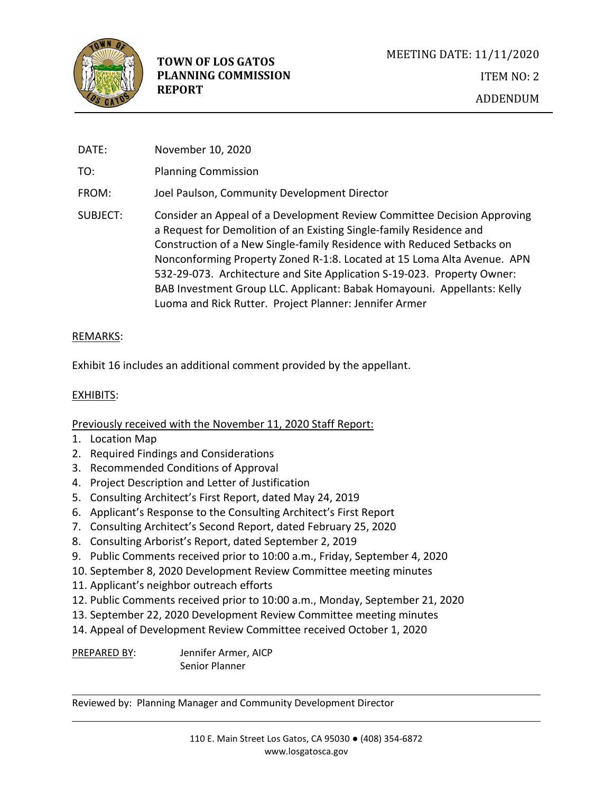

DATE: November 10, 2020 TO: Planning Commission FROM: Joel Paulson, Community Development Director SUBJECT: Consider an Appeal of a Development Review Committee Decision Approving a Request for Demolition of an Existing Single-family Residence and Construction of a New Single-family Residence with Reduced Setbacks on Nonconforming Property Zoned R-1:8. Located at 15 Loma Alta Avenue. APN 532-29-073. Architecture and Site Application S-19-023. Property Owner: BAB Investment Group LLC. Applicant: Babak Homayouni. Appellants: Kelly Luoma and Rick Rutter. Project Planner: Jennifer Armer

## REMARKS:

Exhibit 16 includes an additional comment provided by the appellant.

## EXHIBITS:

## Previously received with the November 11, 2020 Staff Report:

- 1. Location Map
- 2. Required Findings and Considerations
- 3. Recommended Conditions of Approval
- 4. Project Description and Letter of Justification
- 5. Consulting Architect's First Report, dated May 24, 2019
- 6. Applicant's Response to the Consulting Architect's First Report
- 7. Consulting Architect's Second Report, dated February 25, 2020
- 8. Consulting Arborist's Report, dated September 2, 2019
- 9. Public Comments received prior to 10:00 a.m., Friday, September 4, 2020
- 10. September 8, 2020 Development Review Committee meeting minutes
- 11. Applicant's neighbor outreach efforts
- 12. Public Comments received prior to 10:00 a.m., Monday, September 21, 2020
- 13. September 22, 2020 Development Review Committee meeting minutes
- 14. Appeal of Development Review Committee received October 1, 2020

PREPARED BY: Jennifer Armer, AICP Senior Planner

Reviewed by: Planning Manager and Community Development Director